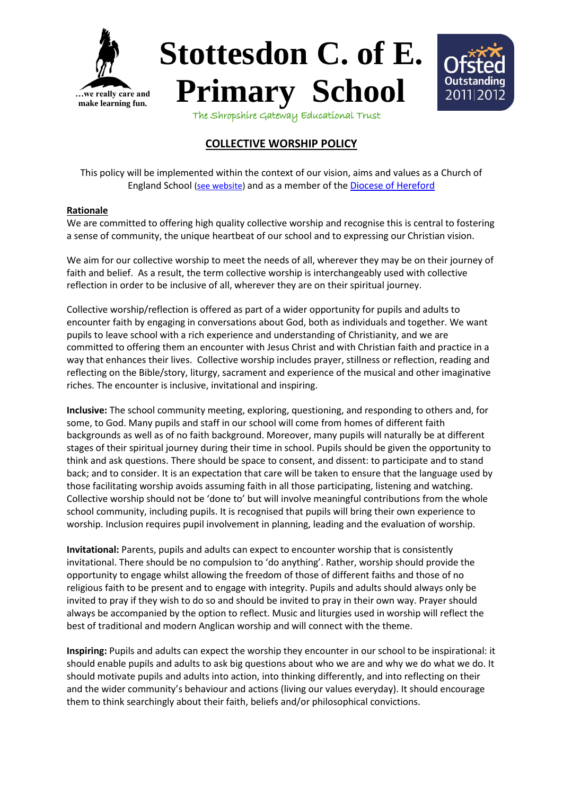





The Shropshire Gateway Educational Trust

## **COLLECTIVE WORSHIP POLICY**

This policy will be implemented within the context of our vision, aims and values as a Church of England School [\(see website\)](http://stottesdon-school.co.uk/overview/being-a-c-of-e-school) and as a member of the [Diocese of Hereford](https://hereford.anglican.org/schools/)

### **Rationale**

We are committed to offering high quality collective worship and recognise this is central to fostering a sense of community, the unique heartbeat of our school and to expressing our Christian vision.

We aim for our collective worship to meet the needs of all, wherever they may be on their journey of faith and belief. As a result, the term collective worship is interchangeably used with collective reflection in order to be inclusive of all, wherever they are on their spiritual journey.

Collective worship/reflection is offered as part of a wider opportunity for pupils and adults to encounter faith by engaging in conversations about God, both as individuals and together. We want pupils to leave school with a rich experience and understanding of Christianity, and we are committed to offering them an encounter with Jesus Christ and with Christian faith and practice in a way that enhances their lives. Collective worship includes prayer, stillness or reflection, reading and reflecting on the Bible/story, liturgy, sacrament and experience of the musical and other imaginative riches. The encounter is inclusive, invitational and inspiring.

**Inclusive:** The school community meeting, exploring, questioning, and responding to others and, for some, to God. Many pupils and staff in our school will come from homes of different faith backgrounds as well as of no faith background. Moreover, many pupils will naturally be at different stages of their spiritual journey during their time in school. Pupils should be given the opportunity to think and ask questions. There should be space to consent, and dissent: to participate and to stand back; and to consider. It is an expectation that care will be taken to ensure that the language used by those facilitating worship avoids assuming faith in all those participating, listening and watching. Collective worship should not be 'done to' but will involve meaningful contributions from the whole school community, including pupils. It is recognised that pupils will bring their own experience to worship. Inclusion requires pupil involvement in planning, leading and the evaluation of worship.

**Invitational:** Parents, pupils and adults can expect to encounter worship that is consistently invitational. There should be no compulsion to 'do anything'. Rather, worship should provide the opportunity to engage whilst allowing the freedom of those of different faiths and those of no religious faith to be present and to engage with integrity. Pupils and adults should always only be invited to pray if they wish to do so and should be invited to pray in their own way. Prayer should always be accompanied by the option to reflect. Music and liturgies used in worship will reflect the best of traditional and modern Anglican worship and will connect with the theme.

**Inspiring:** Pupils and adults can expect the worship they encounter in our school to be inspirational: it should enable pupils and adults to ask big questions about who we are and why we do what we do. It should motivate pupils and adults into action, into thinking differently, and into reflecting on their and the wider community's behaviour and actions (living our values everyday). It should encourage them to think searchingly about their faith, beliefs and/or philosophical convictions.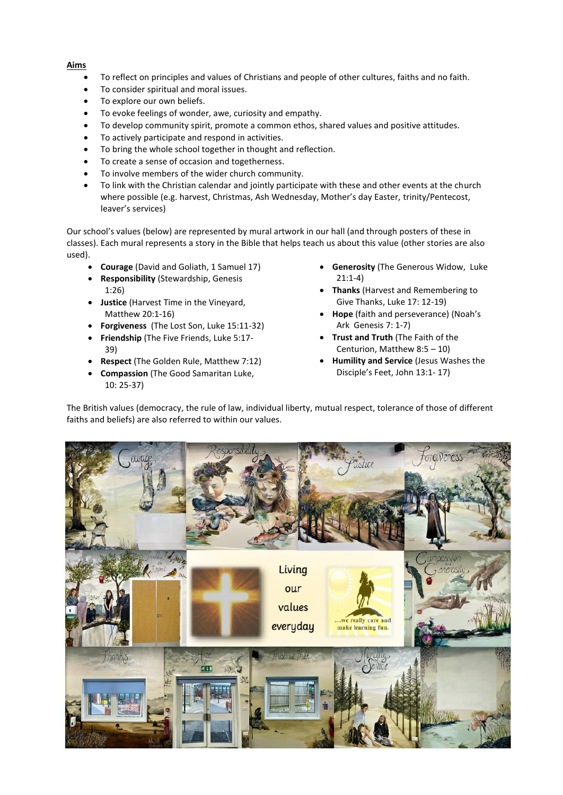### **Aims**

- To reflect on principles and values of Christians and people of other cultures, faiths and no faith.
- To consider spiritual and moral issues.
- To explore our own beliefs.
- To evoke feelings of wonder, awe, curiosity and empathy.
- To develop community spirit, promote a common ethos, shared values and positive attitudes.
- To actively participate and respond in activities.
- To bring the whole school together in thought and reflection.
- To create a sense of occasion and togetherness.
- To involve members of the wider church community.
- To link with the Christian calendar and jointly participate with these and other events at the church where possible (e.g. harvest, Christmas, Ash Wednesday, Mother's day Easter, trinity/Pentecost, leaver's services)

Our school's values (below) are represented by mural artwork in our hall (and through posters of these in classes). Each mural represents a story in the Bible that helps teach us about this value (other stories are also used).

- **Courage** (David and Goliath, 1 Samuel 17)
- **Responsibility** (Stewardship, Genesis 1:26)
- **Justice** (Harvest Time in the Vineyard, Matthew 20:1-16)
- **Forgiveness** (The Lost Son, Luke 15:11-32)
- **Friendship** (The Five Friends, Luke 5:17- 39)
- **Respect** (The Golden Rule, Matthew 7:12)
- **Compassion** (The Good Samaritan Luke, 10: 25-37)
- **Generosity** (The Generous Widow, Luke 21:1-4)
- **Thanks** (Harvest and Remembering to Give Thanks, Luke 17: 12-19)
- **Hope** (faith and perseverance) (Noah's Ark Genesis 7: 1-7)
- **Trust and Truth** (The Faith of the Centurion, Matthew 8:5 – 10)
- **Humility and Service** (Jesus Washes the Disciple's Feet, John 13:1- 17)

The British values (democracy, the rule of law, individual liberty, mutual respect, tolerance of those of different faiths and beliefs) are also referred to within our values.

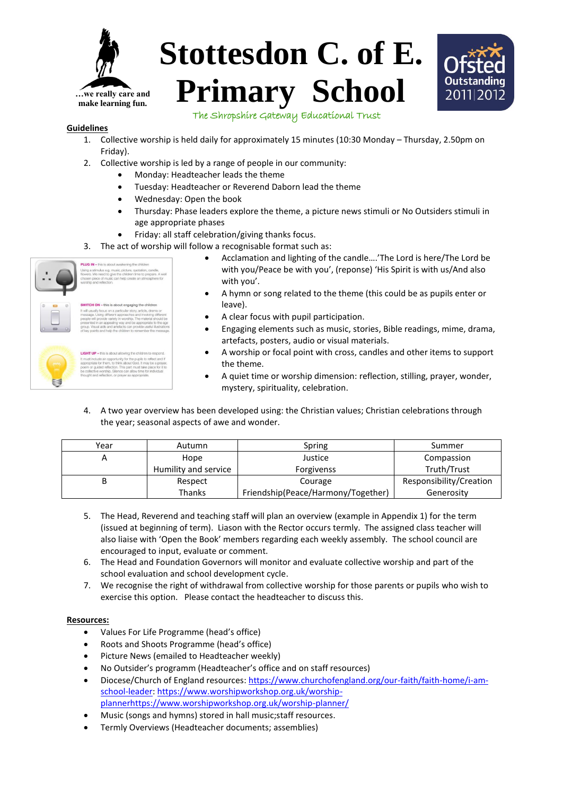

# **Stottesdon C. of E. Primary School**



The Shropshire Gateway Educational Trust

#### **Guidelines**

- 1. Collective worship is held daily for approximately 15 minutes (10:30 Monday Thursday, 2.50pm on Friday).
- 2. Collective worship is led by a range of people in our community:
	- Monday: Headteacher leads the theme
	- Tuesday: Headteacher or Reverend Daborn lead the theme
	- Wednesday: Open the book
	- Thursday: Phase leaders explore the theme, a picture news stimuli or No Outsiders stimuli in age appropriate phases
	- Friday: all staff celebration/giving thanks focus.
- 3. The act of worship will follow a recognisable format such as:



• Acclamation and lighting of the candle….'The Lord is here/The Lord be with you/Peace be with you', (reponse) 'His Spirit is with us/And also with you'. • A hymn or song related to the theme (this could be as pupils enter or

- leave).
- A clear focus with pupil participation.
- Engaging elements such as music, stories, Bible readings, mime, drama, artefacts, posters, audio or visual materials.
- A worship or focal point with cross, candles and other items to support the theme.
- A quiet time or worship dimension: reflection, stilling, prayer, wonder, mystery, spirituality, celebration.
- 4. A two year overview has been developed using: the Christian values; Christian celebrations through the year; seasonal aspects of awe and wonder.

| Year | Autumn               | Spring                             | Summer                  |
|------|----------------------|------------------------------------|-------------------------|
|      | Hope                 | Justice                            | Compassion              |
|      | Humility and service | <b>Forgivenss</b>                  | Truth/Trust             |
|      | Respect              | Courage                            | Responsibility/Creation |
|      | <b>Thanks</b>        | Friendship(Peace/Harmony/Together) | Generosity              |

- 5. The Head, Reverend and teaching staff will plan an overview (example in Appendix 1) for the term (issued at beginning of term). Liason with the Rector occurs termly. The assigned class teacher will also liaise with 'Open the Book' members regarding each weekly assembly. The school council are encouraged to input, evaluate or comment.
- 6. The Head and Foundation Governors will monitor and evaluate collective worship and part of the school evaluation and school development cycle.
- 7. We recognise the right of withdrawal from collective worship for those parents or pupils who wish to exercise this option. Please contact the headteacher to discuss this.

### **Resources:**

- Values For Life Programme (head's office)
- Roots and Shoots Programme (head's office)
- Picture News (emailed to Headteacher weekly)
- No Outsider's programm (Headteacher's office and on staff resources)
- Diocese/Church of England resources: [https://www.churchofengland.org/our-faith/faith-home/i-am](https://www.churchofengland.org/our-faith/faith-home/i-am-school-leader)[school-leader:](https://www.churchofengland.org/our-faith/faith-home/i-am-school-leader) [https://www.worshipworkshop.org.uk/worship](https://www.worshipworkshop.org.uk/worship-plannerhttps:/www.worshipworkshop.org.uk/worship-planner/)[plannerhttps://www.worshipworkshop.org.uk/worship-planner/](https://www.worshipworkshop.org.uk/worship-plannerhttps:/www.worshipworkshop.org.uk/worship-planner/)
- Music (songs and hymns) stored in hall music;staff resources.
- Termly Overviews (Headteacher documents; assemblies)